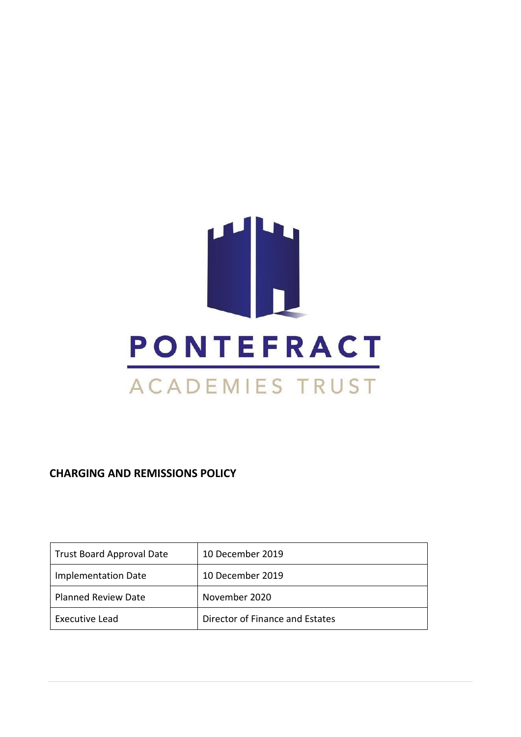

**CHARGING AND REMISSIONS POLICY** 

| <b>Trust Board Approval Date</b> | 10 December 2019                |
|----------------------------------|---------------------------------|
| Implementation Date              | 10 December 2019                |
| <b>Planned Review Date</b>       | November 2020                   |
| Executive Lead                   | Director of Finance and Estates |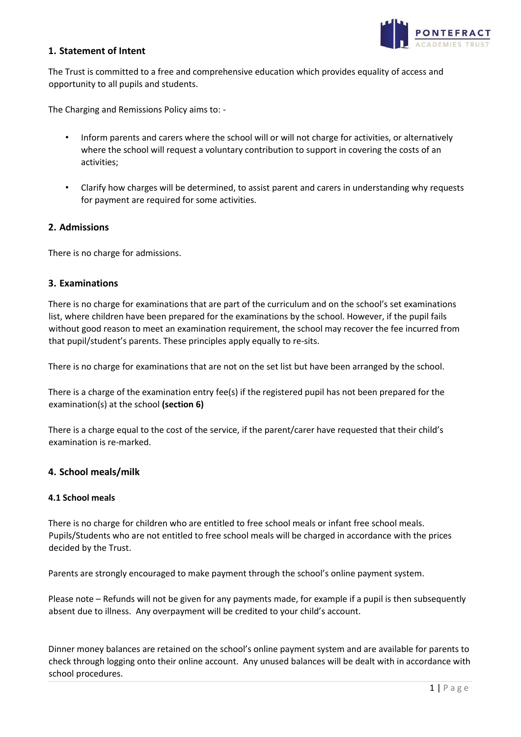

## **1. Statement of Intent**

The Trust is committed to a free and comprehensive education which provides equality of access and opportunity to all pupils and students.

The Charging and Remissions Policy aims to: -

- Inform parents and carers where the school will or will not charge for activities, or alternatively where the school will request a voluntary contribution to support in covering the costs of an activities;
- Clarify how charges will be determined, to assist parent and carers in understanding why requests for payment are required for some activities.

## **2. Admissions**

There is no charge for admissions.

#### **3. Examinations**

There is no charge for examinations that are part of the curriculum and on the school's set examinations list, where children have been prepared for the examinations by the school. However, if the pupil fails without good reason to meet an examination requirement, the school may recover the fee incurred from that pupil/student's parents. These principles apply equally to re-sits.

There is no charge for examinations that are not on the set list but have been arranged by the school.

There is a charge of the examination entry fee(s) if the registered pupil has not been prepared for the examination(s) at the school **(section 6)** 

There is a charge equal to the cost of the service, if the parent/carer have requested that their child's examination is re-marked.

#### **4. School meals/milk**

#### **4.1 School meals**

There is no charge for children who are entitled to free school meals or infant free school meals. Pupils/Students who are not entitled to free school meals will be charged in accordance with the prices decided by the Trust.

Parents are strongly encouraged to make payment through the school's online payment system.

Please note – Refunds will not be given for any payments made, for example if a pupil is then subsequently absent due to illness. Any overpayment will be credited to your child's account.

Dinner money balances are retained on the school's online payment system and are available for parents to check through logging onto their online account. Any unused balances will be dealt with in accordance with school procedures.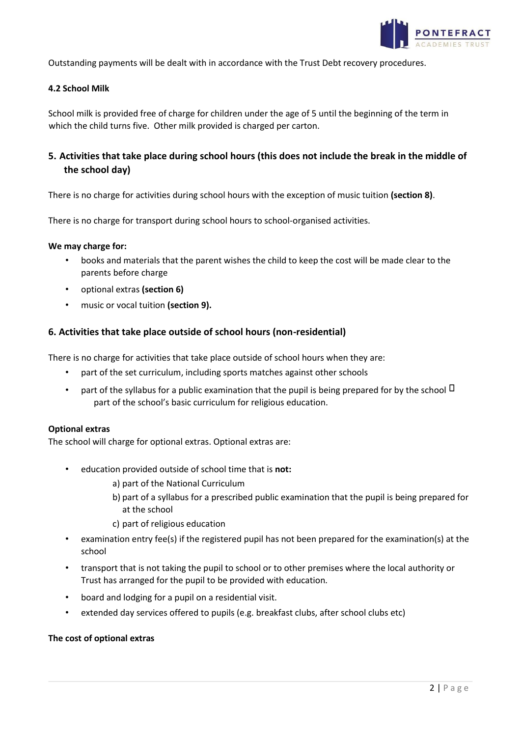

Outstanding payments will be dealt with in accordance with the Trust Debt recovery procedures.

#### **4.2 School Milk**

School milk is provided free of charge for children under the age of 5 until the beginning of the term in which the child turns five. Other milk provided is charged per carton.

## **5. Activities that take place during school hours (this does not include the break in the middle of the school day)**

There is no charge for activities during school hours with the exception of music tuition **(section 8)**.

There is no charge for transport during school hours to school-organised activities.

#### **We may charge for:**

- books and materials that the parent wishes the child to keep the cost will be made clear to the parents before charge
- optional extras **(section 6)**
- music or vocal tuition **(section 9).**

#### **6. Activities that take place outside of school hours (non-residential)**

There is no charge for activities that take place outside of school hours when they are:

- part of the set curriculum, including sports matches against other schools
- part of the syllabus for a public examination that the pupil is being prepared for by the school  $\Box$ part of the school's basic curriculum for religious education.

#### **Optional extras**

The school will charge for optional extras. Optional extras are:

- education provided outside of school time that is **not:**
	- a) part of the National Curriculum
	- b) part of a syllabus for a prescribed public examination that the pupil is being prepared for at the school
	- c) part of religious education
- examination entry fee(s) if the registered pupil has not been prepared for the examination(s) at the school
- transport that is not taking the pupil to school or to other premises where the local authority or Trust has arranged for the pupil to be provided with education*.*
- board and lodging for a pupil on a residential visit.
- extended day services offered to pupils (e.g. breakfast clubs, after school clubs etc)

#### **The cost of optional extras**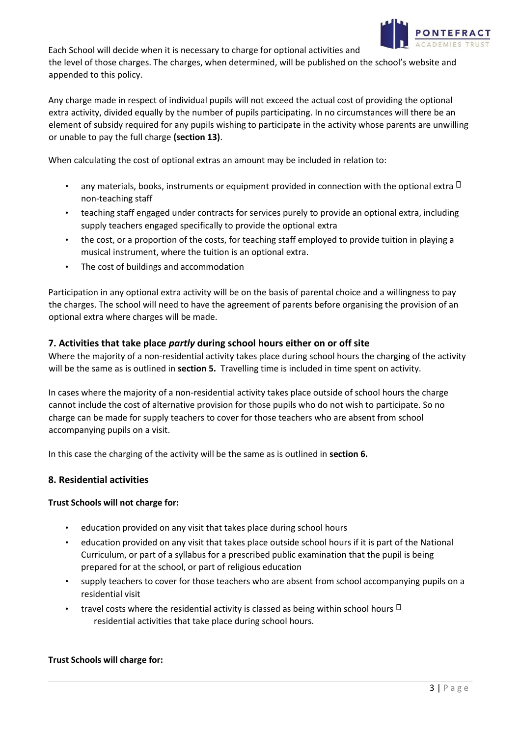

Each School will decide when it is necessary to charge for optional activities and the level of those charges. The charges, when determined, will be published on the school's website and appended to this policy.

Any charge made in respect of individual pupils will not exceed the actual cost of providing the optional extra activity, divided equally by the number of pupils participating. In no circumstances will there be an element of subsidy required for any pupils wishing to participate in the activity whose parents are unwilling or unable to pay the full charge **(section 13)**.

When calculating the cost of optional extras an amount may be included in relation to:

- any materials, books, instruments or equipment provided in connection with the optional extra  $\Box$ non-teaching staff
- teaching staff engaged under contracts for services purely to provide an optional extra, including supply teachers engaged specifically to provide the optional extra
- the cost, or a proportion of the costs, for teaching staff employed to provide tuition in playing a musical instrument, where the tuition is an optional extra.
- The cost of buildings and accommodation

Participation in any optional extra activity will be on the basis of parental choice and a willingness to pay the charges. The school will need to have the agreement of parents before organising the provision of an optional extra where charges will be made.

## **7. Activities that take place** *partly* **during school hours either on or off site**

Where the majority of a non-residential activity takes place during school hours the charging of the activity will be the same as is outlined in **section 5.** Travelling time is included in time spent on activity.

In cases where the majority of a non-residential activity takes place outside of school hours the charge cannot include the cost of alternative provision for those pupils who do not wish to participate. So no charge can be made for supply teachers to cover for those teachers who are absent from school accompanying pupils on a visit.

In this case the charging of the activity will be the same as is outlined in **section 6.** 

## **8. Residential activities**

#### **Trust Schools will not charge for:**

- education provided on any visit that takes place during school hours
- education provided on any visit that takes place outside school hours if it is part of the National Curriculum, or part of a syllabus for a prescribed public examination that the pupil is being prepared for at the school, or part of religious education
- supply teachers to cover for those teachers who are absent from school accompanying pupils on a residential visit
- travel costs where the residential activity is classed as being within school hours  $\Box$ residential activities that take place during school hours.

#### **Trust Schools will charge for:**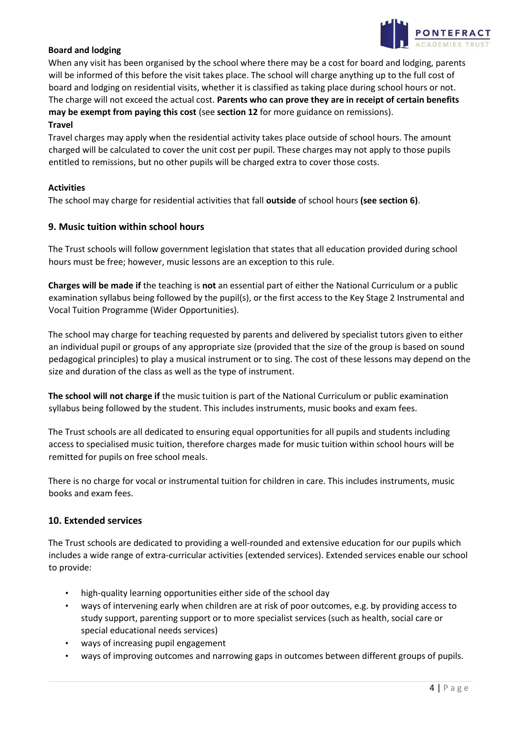

## **Board and lodging**

When any visit has been organised by the school where there may be a cost for board and lodging, parents will be informed of this before the visit takes place. The school will charge anything up to the full cost of board and lodging on residential visits, whether it is classified as taking place during school hours or not. The charge will not exceed the actual cost. **Parents who can prove they are in receipt of certain benefits may be exempt from paying this cost** (see **section 12** for more guidance on remissions).

#### **Travel**

Travel charges may apply when the residential activity takes place outside of school hours. The amount charged will be calculated to cover the unit cost per pupil. These charges may not apply to those pupils entitled to remissions, but no other pupils will be charged extra to cover those costs.

#### **Activities**

The school may charge for residential activities that fall **outside** of school hours **(see section 6)**.

#### **9. Music tuition within school hours**

The Trust schools will follow government legislation that states that all education provided during school hours must be free; however, music lessons are an exception to this rule.

**Charges will be made if** the teaching is **not** an essential part of either the National Curriculum or a public examination syllabus being followed by the pupil(s), or the first access to the Key Stage 2 Instrumental and Vocal Tuition Programme (Wider Opportunities).

The school may charge for teaching requested by parents and delivered by specialist tutors given to either an individual pupil or groups of any appropriate size (provided that the size of the group is based on sound pedagogical principles) to play a musical instrument or to sing. The cost of these lessons may depend on the size and duration of the class as well as the type of instrument.

**The school will not charge if** the music tuition is part of the National Curriculum or public examination syllabus being followed by the student. This includes instruments, music books and exam fees.

The Trust schools are all dedicated to ensuring equal opportunities for all pupils and students including access to specialised music tuition, therefore charges made for music tuition within school hours will be remitted for pupils on free school meals.

There is no charge for vocal or instrumental tuition for children in care. This includes instruments, music books and exam fees.

#### **10. Extended services**

The Trust schools are dedicated to providing a well-rounded and extensive education for our pupils which includes a wide range of extra-curricular activities (extended services). Extended services enable our school to provide:

- high-quality learning opportunities either side of the school day
- ways of intervening early when children are at risk of poor outcomes, e.g. by providing access to study support, parenting support or to more specialist services (such as health, social care or special educational needs services)
- ways of increasing pupil engagement
- ways of improving outcomes and narrowing gaps in outcomes between different groups of pupils.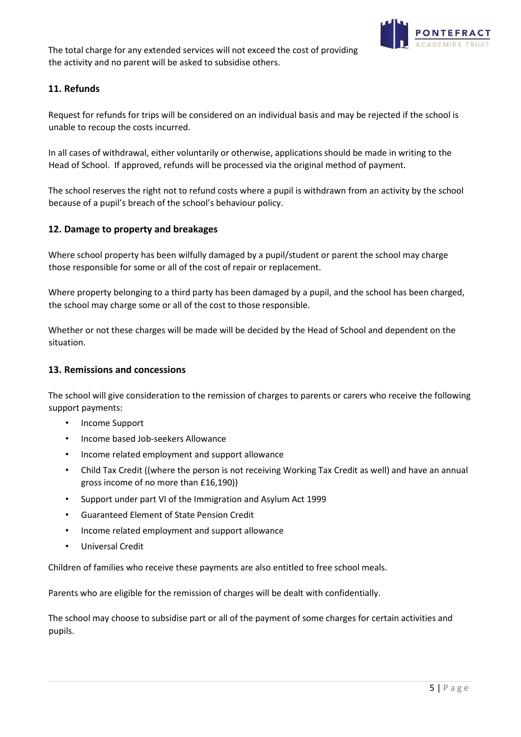

The total charge for any extended services will not exceed the cost of providing the activity and no parent will be asked to subsidise others.

## **11. Refunds**

Request for refunds for trips will be considered on an individual basis and may be rejected if the school is unable to recoup the costs incurred.

In all cases of withdrawal, either voluntarily or otherwise, applications should be made in writing to the Head of School. If approved, refunds will be processed via the original method of payment.

The school reserves the right not to refund costs where a pupil is withdrawn from an activity by the school because of a pupil's breach of the school's behaviour policy.

## **12. Damage to property and breakages**

Where school property has been wilfully damaged by a pupil/student or parent the school may charge those responsible for some or all of the cost of repair or replacement.

Where property belonging to a third party has been damaged by a pupil, and the school has been charged, the school may charge some or all of the cost to those responsible.

Whether or not these charges will be made will be decided by the Head of School and dependent on the situation.

#### **13. Remissions and concessions**

The school will give consideration to the remission of charges to parents or carers who receive the following support payments:

- Income Support
- Income based Job-seekers Allowance
- Income related employment and support allowance
- Child Tax Credit ((where the person is not receiving Working Tax Credit as well) and have an annual gross income of no more than £16,190))
- Support under part VI of the Immigration and Asylum Act 1999
- Guaranteed Element of State Pension Credit
- Income related employment and support allowance
- Universal Credit

Children of families who receive these payments are also entitled to free school meals.

Parents who are eligible for the remission of charges will be dealt with confidentially.

The school may choose to subsidise part or all of the payment of some charges for certain activities and pupils.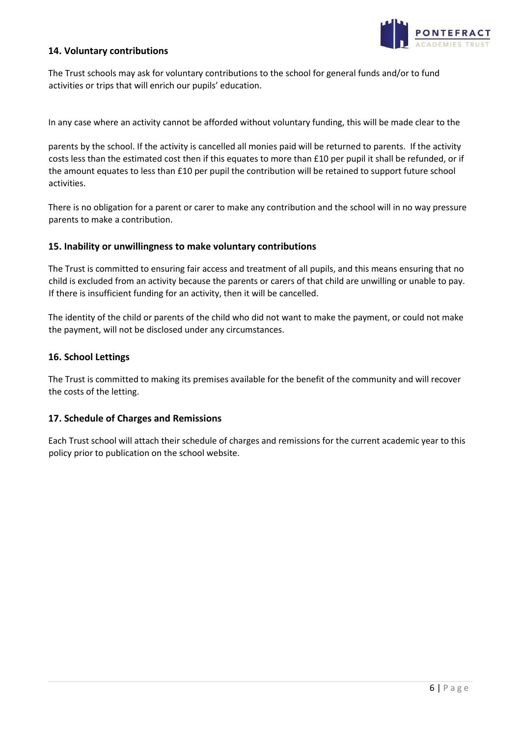

## **14. Voluntary contributions**

The Trust schools may ask for voluntary contributions to the school for general funds and/or to fund activities or trips that will enrich our pupils' education.

In any case where an activity cannot be afforded without voluntary funding, this will be made clear to the

parents by the school. If the activity is cancelled all monies paid will be returned to parents. If the activity costs less than the estimated cost then if this equates to more than £10 per pupil it shall be refunded, or if the amount equates to less than £10 per pupil the contribution will be retained to support future school activities.

There is no obligation for a parent or carer to make any contribution and the school will in no way pressure parents to make a contribution.

#### **15. Inability or unwillingness to make voluntary contributions**

The Trust is committed to ensuring fair access and treatment of all pupils, and this means ensuring that no child is excluded from an activity because the parents or carers of that child are unwilling or unable to pay. If there is insufficient funding for an activity, then it will be cancelled.

The identity of the child or parents of the child who did not want to make the payment, or could not make the payment, will not be disclosed under any circumstances.

#### **16. School Lettings**

The Trust is committed to making its premises available for the benefit of the community and will recover the costs of the letting.

#### **17. Schedule of Charges and Remissions**

Each Trust school will attach their schedule of charges and remissions for the current academic year to this policy prior to publication on the school website.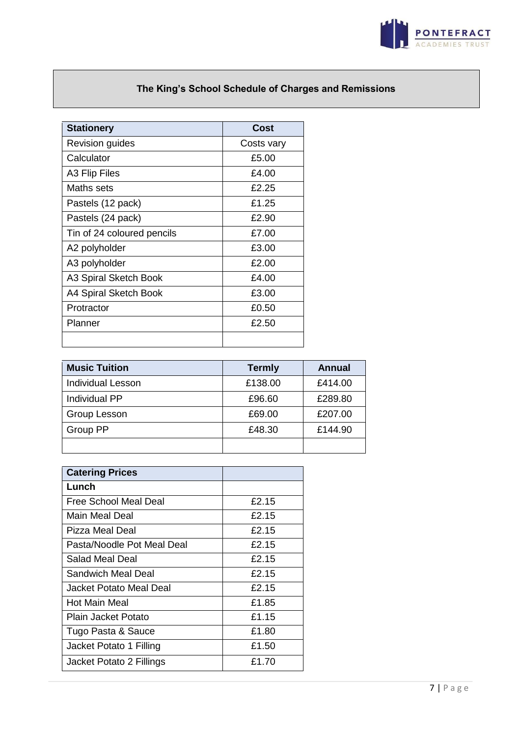

# **The King's School Schedule of Charges and Remissions**

| <b>Stationery</b>          | Cost       |
|----------------------------|------------|
| <b>Revision guides</b>     | Costs vary |
| Calculator                 | £5.00      |
| A3 Flip Files              | £4.00      |
| Maths sets                 | £2.25      |
| Pastels (12 pack)          | £1.25      |
| Pastels (24 pack)          | £2.90      |
| Tin of 24 coloured pencils | £7.00      |
| A2 polyholder              | £3.00      |
| A3 polyholder              | £2.00      |
| A3 Spiral Sketch Book      | £4.00      |
| A4 Spiral Sketch Book      | £3.00      |
| Protractor                 | £0.50      |
| Planner                    | £2.50      |
|                            |            |

| <b>Music Tuition</b>     | <b>Termly</b> | Annual  |
|--------------------------|---------------|---------|
| <b>Individual Lesson</b> | £138.00       | £414.00 |
| Individual PP            | £96.60        | £289.80 |
| Group Lesson             | £69.00        | £207.00 |
| Group PP                 | £48.30        | £144.90 |
|                          |               |         |

| <b>Catering Prices</b>     |       |
|----------------------------|-------|
| Lunch                      |       |
| Free School Meal Deal      | £2.15 |
| Main Meal Deal             | £2.15 |
| Pizza Meal Deal            | £2.15 |
| Pasta/Noodle Pot Meal Deal | £2.15 |
| Salad Meal Deal            | £2.15 |
| Sandwich Meal Deal         | £2.15 |
| Jacket Potato Meal Deal    | £2.15 |
| Hot Main Meal              | £1.85 |
| Plain Jacket Potato        | £1.15 |
| Tugo Pasta & Sauce         | £1.80 |
| Jacket Potato 1 Filling    | £1.50 |
| Jacket Potato 2 Fillings   | £1.70 |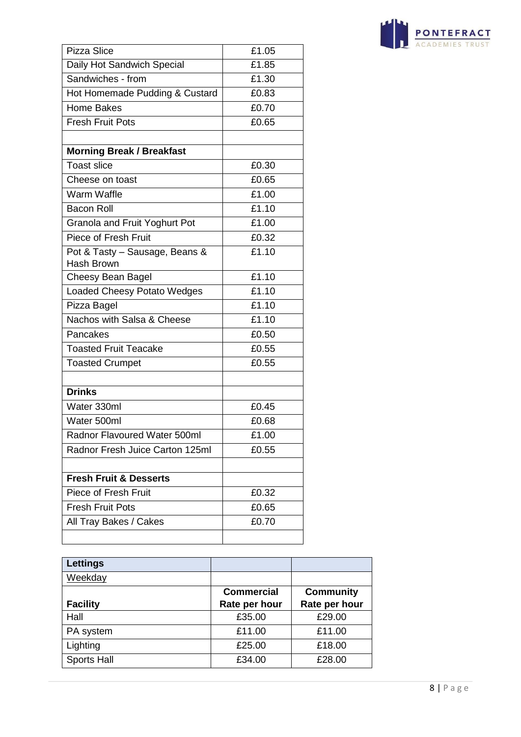| <b>PONTEFRACT</b> |  |
|-------------------|--|
| ACADEMIES TRUST   |  |

| Pizza Slice                       | £1.05 |
|-----------------------------------|-------|
| Daily Hot Sandwich Special        | £1.85 |
| Sandwiches - from                 | £1.30 |
| Hot Homemade Pudding & Custard    | £0.83 |
| Home Bakes                        | £0.70 |
| <b>Fresh Fruit Pots</b>           | £0.65 |
|                                   |       |
| <b>Morning Break / Breakfast</b>  |       |
| <b>Toast slice</b>                | £0.30 |
| Cheese on toast                   | £0.65 |
| Warm Waffle                       | £1.00 |
| <b>Bacon Roll</b>                 | £1.10 |
| Granola and Fruit Yoghurt Pot     | £1.00 |
| Piece of Fresh Fruit              | £0.32 |
| Pot & Tasty - Sausage, Beans &    | £1.10 |
| Hash Brown                        |       |
| Cheesy Bean Bagel                 | £1.10 |
| Loaded Cheesy Potato Wedges       | £1.10 |
| Pizza Bagel                       | £1.10 |
| Nachos with Salsa & Cheese        | £1.10 |
| Pancakes                          | £0.50 |
| <b>Toasted Fruit Teacake</b>      | £0.55 |
| <b>Toasted Crumpet</b>            | £0.55 |
|                                   |       |
| <b>Drinks</b>                     |       |
| Water 330ml                       | £0.45 |
| Water 500ml                       | £0.68 |
| Radnor Flavoured Water 500ml      | £1.00 |
| Radnor Fresh Juice Carton 125ml   | £0.55 |
|                                   |       |
| <b>Fresh Fruit &amp; Desserts</b> |       |
| Piece of Fresh Fruit              | £0.32 |
| <b>Fresh Fruit Pots</b>           | £0.65 |
| All Tray Bakes / Cakes            | £0.70 |
|                                   |       |

| Lettings           |                   |                  |
|--------------------|-------------------|------------------|
| Weekday            |                   |                  |
|                    | <b>Commercial</b> | <b>Community</b> |
| <b>Facility</b>    | Rate per hour     | Rate per hour    |
| Hall               | £35.00            | £29.00           |
| PA system          | £11.00            | £11.00           |
| Lighting           | £25.00            | £18.00           |
| <b>Sports Hall</b> | £34.00            | £28.00           |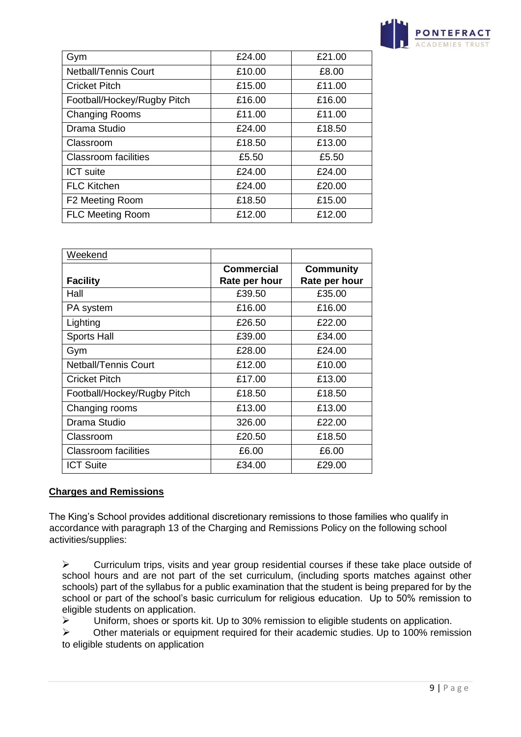

| Gym                         | £24.00 | £21.00 |
|-----------------------------|--------|--------|
| <b>Netball/Tennis Court</b> | £10.00 | £8.00  |
| <b>Cricket Pitch</b>        | £15.00 | £11.00 |
| Football/Hockey/Rugby Pitch | £16.00 | £16.00 |
| <b>Changing Rooms</b>       | £11.00 | £11.00 |
| Drama Studio                | £24.00 | £18.50 |
| Classroom                   | £18.50 | £13.00 |
| <b>Classroom facilities</b> | £5.50  | £5.50  |
| <b>ICT</b> suite            | £24.00 | £24.00 |
| <b>FLC Kitchen</b>          | £24.00 | £20.00 |
| F2 Meeting Room             | £18.50 | £15.00 |
| <b>FLC Meeting Room</b>     | £12.00 | £12.00 |
|                             |        |        |

| Weekend                     |               |                  |
|-----------------------------|---------------|------------------|
|                             | Commercial    | <b>Community</b> |
| <b>Facility</b>             | Rate per hour | Rate per hour    |
| Hall                        | £39.50        | £35.00           |
| PA system                   | £16.00        | £16.00           |
| Lighting                    | £26.50        | £22.00           |
| <b>Sports Hall</b>          | £39.00        | £34.00           |
| Gym                         | £28.00        | £24.00           |
| <b>Netball/Tennis Court</b> | £12.00        | £10.00           |
| Cricket Pitch               | £17.00        | £13.00           |
| Football/Hockey/Rugby Pitch | £18.50        | £18.50           |
| Changing rooms              | £13.00        | £13.00           |
| Drama Studio                | 326.00        | £22.00           |
| Classroom                   | £20.50        | £18.50           |
| <b>Classroom facilities</b> | £6.00         | £6.00            |
| <b>ICT Suite</b>            | £34.00        | £29.00           |

## **Charges and Remissions**

The King's School provides additional discretionary remissions to those families who qualify in accordance with paragraph 13 of the Charging and Remissions Policy on the following school activities/supplies:

 $\triangleright$  Curriculum trips, visits and year group residential courses if these take place outside of school hours and are not part of the set curriculum, (including sports matches against other schools) part of the syllabus for a public examination that the student is being prepared for by the school or part of the school's basic curriculum for religious education. Up to 50% remission to eligible students on application.

 $\triangleright$  Uniform, shoes or sports kit. Up to 30% remission to eligible students on application.

 $\triangleright$  Other materials or equipment required for their academic studies. Up to 100% remission to eligible students on application